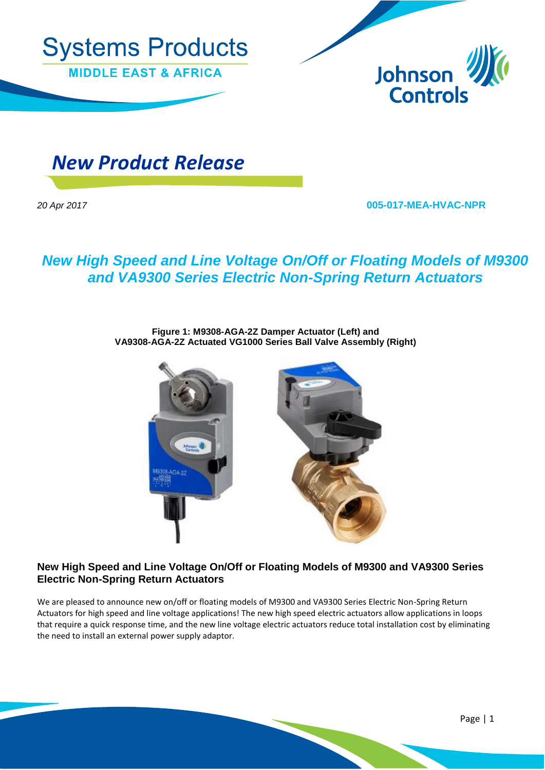



 *New Product Release*

*20 Apr 2017* **005-017-MEA-HVAC-NPR**

# *New High Speed and Line Voltage On/Off or Floating Models of M9300 and VA9300 Series Electric Non-Spring Return Actuators*

**Figure 1: M9308-AGA-2Z Damper Actuator (Left) and VA9308-AGA-2Z Actuated VG1000 Series Ball Valve Assembly (Right)**



#### **New High Speed and Line Voltage On/Off or Floating Models of M9300 and VA9300 Series Electric Non-Spring Return Actuators**

We are pleased to announce new on/off or floating models of M9300 and VA9300 Series Electric Non-Spring Return Actuators for high speed and line voltage applications! The new high speed electric actuators allow applications in loops that require a quick response time, and the new line voltage electric actuators reduce total installation cost by eliminating the need to install an external power supply adaptor.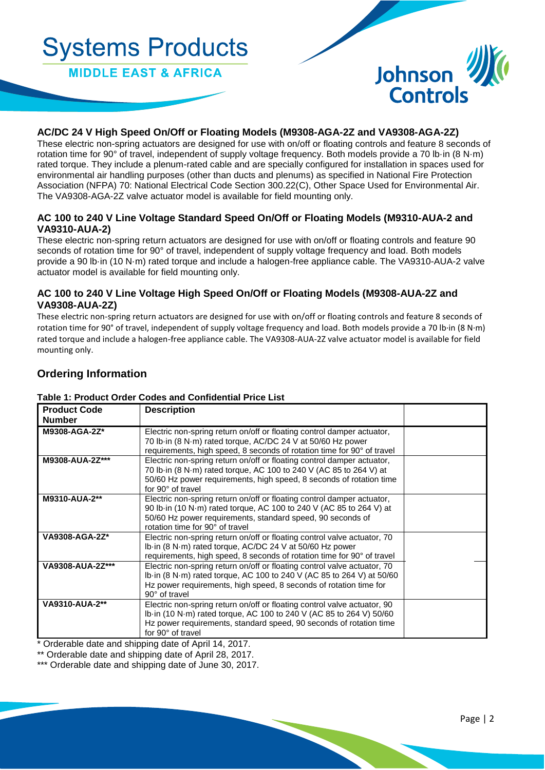# **Systems Products**

**MIDDLE EAST & AFRICA** 



# **AC/DC 24 V High Speed On/Off or Floating Models (M9308-AGA-2Z and VA9308-AGA-2Z)**

These electric non-spring actuators are designed for use with on/off or floating controls and feature 8 seconds of rotation time for 90° of travel, independent of supply voltage frequency. Both models provide a 70 lb·in (8 N·m) rated torque. They include a plenum-rated cable and are specially configured for installation in spaces used for environmental air handling purposes (other than ducts and plenums) as specified in National Fire Protection Association (NFPA) 70: National Electrical Code Section 300.22(C), Other Space Used for Environmental Air. The VA9308-AGA-2Z valve actuator model is available for field mounting only.

#### **AC 100 to 240 V Line Voltage Standard Speed On/Off or Floating Models (M9310-AUA-2 and VA9310-AUA-2)**

These electric non-spring return actuators are designed for use with on/off or floating controls and feature 90 seconds of rotation time for 90° of travel, independent of supply voltage frequency and load. Both models provide a 90 lb·in (10 N·m) rated torque and include a halogen-free appliance cable. The VA9310-AUA-2 valve actuator model is available for field mounting only.

### **AC 100 to 240 V Line Voltage High Speed On/Off or Floating Models (M9308-AUA-2Z and VA9308-AUA-2Z)**

These electric non-spring return actuators are designed for use with on/off or floating controls and feature 8 seconds of rotation time for 90° of travel, independent of supply voltage frequency and load. Both models provide a 70 lb·in (8 N·m) rated torque and include a halogen-free appliance cable. The VA9308-AUA-2Z valve actuator model is available for field mounting only.

# **Ordering Information**

#### **Table 1: Product Order Codes and Confidential Price List**

| <b>Product Code</b><br><b>Number</b> | <b>Description</b>                                                                                                                                                                                                                             |  |
|--------------------------------------|------------------------------------------------------------------------------------------------------------------------------------------------------------------------------------------------------------------------------------------------|--|
| M9308-AGA-2Z*                        | Electric non-spring return on/off or floating control damper actuator,<br>70 lb·in (8 N·m) rated torque, AC/DC 24 V at 50/60 Hz power<br>requirements, high speed, 8 seconds of rotation time for 90° of travel                                |  |
| M9308-AUA-2Z***                      | Electric non-spring return on/off or floating control damper actuator,<br>70 lb·in (8 N·m) rated torque, AC 100 to 240 V (AC 85 to 264 V) at<br>50/60 Hz power requirements, high speed, 8 seconds of rotation time<br>for 90° of travel       |  |
| M9310-AUA-2**                        | Electric non-spring return on/off or floating control damper actuator,<br>90 lb in (10 N·m) rated torque, AC 100 to 240 V (AC 85 to 264 V) at<br>50/60 Hz power requirements, standard speed, 90 seconds of<br>rotation time for 90° of travel |  |
| VA9308-AGA-2Z*                       | Electric non-spring return on/off or floating control valve actuator, 70<br>Ib in (8 N·m) rated torque, AC/DC 24 V at 50/60 Hz power<br>requirements, high speed, 8 seconds of rotation time for 90° of travel                                 |  |
| VA9308-AUA-2Z***                     | Electric non-spring return on/off or floating control valve actuator, 70<br>Ib in (8 N·m) rated torque, AC 100 to 240 V (AC 85 to 264 V) at 50/60<br>Hz power requirements, high speed, 8 seconds of rotation time for<br>90° of travel        |  |
| VA9310-AUA-2**                       | Electric non-spring return on/off or floating control valve actuator, 90<br>Ib in (10 N·m) rated torque, AC 100 to 240 V (AC 85 to 264 V) 50/60<br>Hz power requirements, standard speed, 90 seconds of rotation time<br>for 90° of travel     |  |

\* Orderable date and shipping date of April 14, 2017.

\*\* Orderable date and shipping date of April 28, 2017.

\*\*\* Orderable date and shipping date of June 30, 2017.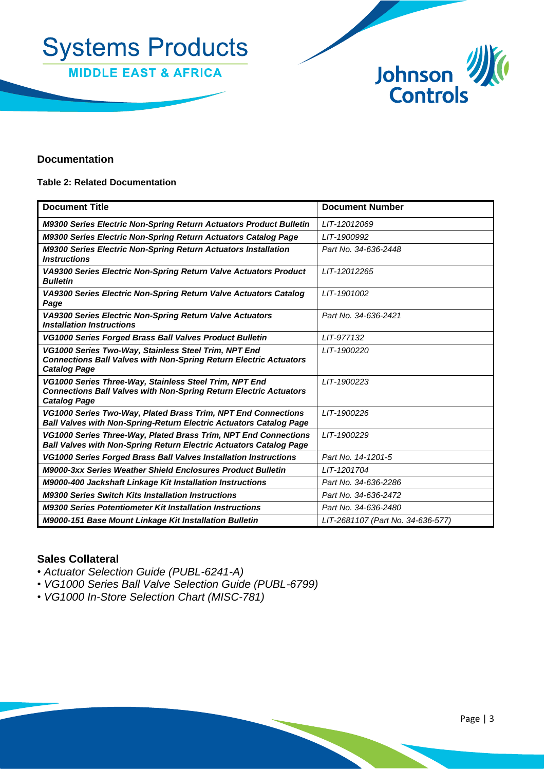



## **Documentation**

#### **Table 2: Related Documentation**

| <b>Document Title</b>                                                                                                                                     | <b>Document Number</b>            |
|-----------------------------------------------------------------------------------------------------------------------------------------------------------|-----------------------------------|
| M9300 Series Electric Non-Spring Return Actuators Product Bulletin                                                                                        | LIT-12012069                      |
| M9300 Series Electric Non-Spring Return Actuators Catalog Page                                                                                            | LIT-1900992                       |
| M9300 Series Electric Non-Spring Return Actuators Installation<br><b>Instructions</b>                                                                     | Part No. 34-636-2448              |
| VA9300 Series Electric Non-Spring Return Valve Actuators Product<br><b>Bulletin</b>                                                                       | LIT-12012265                      |
| VA9300 Series Electric Non-Spring Return Valve Actuators Catalog<br>Page                                                                                  | LIT-1901002                       |
| VA9300 Series Electric Non-Spring Return Valve Actuators<br><b>Installation Instructions</b>                                                              | Part No. 34-636-2421              |
| VG1000 Series Forged Brass Ball Valves Product Bulletin                                                                                                   | LIT-977132                        |
| VG1000 Series Two-Way, Stainless Steel Trim, NPT End<br><b>Connections Ball Valves with Non-Spring Return Electric Actuators</b><br><b>Catalog Page</b>   | LIT-1900220                       |
| VG1000 Series Three-Way, Stainless Steel Trim, NPT End<br><b>Connections Ball Valves with Non-Spring Return Electric Actuators</b><br><b>Catalog Page</b> | LIT-1900223                       |
| VG1000 Series Two-Way, Plated Brass Trim, NPT End Connections<br><b>Ball Valves with Non-Spring-Return Electric Actuators Catalog Page</b>                | LIT-1900226                       |
| VG1000 Series Three-Way, Plated Brass Trim, NPT End Connections<br><b>Ball Valves with Non-Spring Return Electric Actuators Catalog Page</b>              | LIT-1900229                       |
| <b>VG1000 Series Forged Brass Ball Valves Installation Instructions</b>                                                                                   | Part No. 14-1201-5                |
| <b>M9000-3xx Series Weather Shield Enclosures Product Bulletin</b>                                                                                        | LIT-1201704                       |
| M9000-400 Jackshaft Linkage Kit Installation Instructions                                                                                                 | Part No. 34-636-2286              |
| <b>M9300 Series Switch Kits Installation Instructions</b>                                                                                                 | Part No. 34-636-2472              |
| <b>M9300 Series Potentiometer Kit Installation Instructions</b>                                                                                           | Part No. 34-636-2480              |
| M9000-151 Base Mount Linkage Kit Installation Bulletin                                                                                                    | LIT-2681107 (Part No. 34-636-577) |

# **Sales Collateral**

- *Actuator Selection Guide (PUBL-6241-A)*
- *VG1000 Series Ball Valve Selection Guide (PUBL-6799)*
- *VG1000 In-Store Selection Chart (MISC-781)*